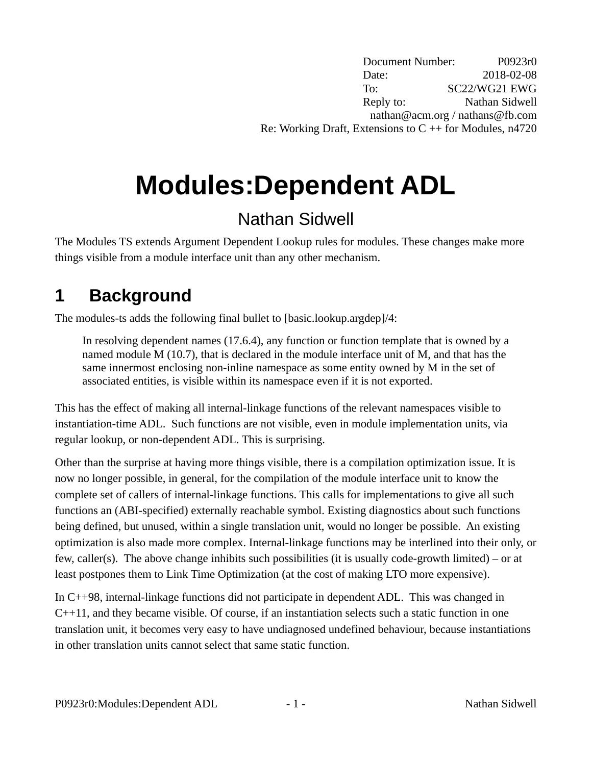Document Number: P0923r0 Date: 2018-02-08 To: SC22/WG21 EWG Reply to: Nathan Sidwell nathan@acm.org / nathans@fb.com Re: Working Draft, Extensions to  $C + f$  for Modules, n4720

# **Modules:Dependent ADL**

## Nathan Sidwell

The Modules TS extends Argument Dependent Lookup rules for modules. These changes make more things visible from a module interface unit than any other mechanism.

## **1 Background**

The modules-ts adds the following final bullet to [basic.lookup.argdep]/4:

In resolving dependent names (17.6.4), any function or function template that is owned by a named module M (10.7), that is declared in the module interface unit of M, and that has the same innermost enclosing non-inline namespace as some entity owned by M in the set of associated entities, is visible within its namespace even if it is not exported.

This has the effect of making all internal-linkage functions of the relevant namespaces visible to instantiation-time ADL. Such functions are not visible, even in module implementation units, via regular lookup, or non-dependent ADL. This is surprising.

Other than the surprise at having more things visible, there is a compilation optimization issue. It is now no longer possible, in general, for the compilation of the module interface unit to know the complete set of callers of internal-linkage functions. This calls for implementations to give all such functions an (ABI-specified) externally reachable symbol. Existing diagnostics about such functions being defined, but unused, within a single translation unit, would no longer be possible. An existing optimization is also made more complex. Internal-linkage functions may be interlined into their only, or few, caller(s). The above change inhibits such possibilities (it is usually code-growth limited) – or at least postpones them to Link Time Optimization (at the cost of making LTO more expensive).

In C++98, internal-linkage functions did not participate in dependent ADL. This was changed in C++11, and they became visible. Of course, if an instantiation selects such a static function in one translation unit, it becomes very easy to have undiagnosed undefined behaviour, because instantiations in other translation units cannot select that same static function.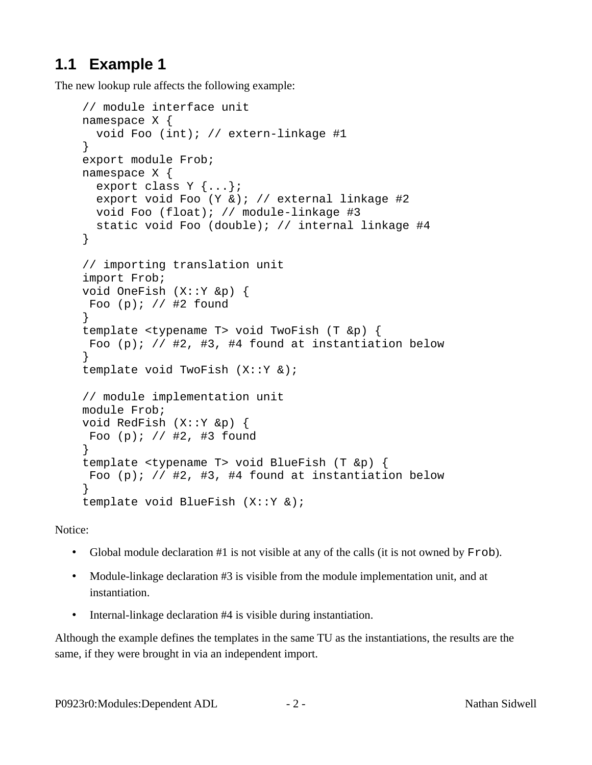#### **1.1 Example 1**

The new lookup rule affects the following example:

```
// module interface unit
namespace X {
   void Foo (int); // extern-linkage #1
}
export module Frob;
namespace X {
  export class Y \{ \ldots \};
   export void Foo (Y &); // external linkage #2
   void Foo (float); // module-linkage #3
   static void Foo (double); // internal linkage #4
}
// importing translation unit
import Frob;
void OneFish (X::Y &p) {
  Foo (p); // #2 found
}
template <typename T> void TwoFish (T &p) {
 Foo (p); // #2, #3, #4 found at instantiation below
}
template void TwoFish (X::Y &);
// module implementation unit
module Frob;
void RedFish (X::Y &p) { 
  Foo (p); // #2, #3 found
} 
template <typename T> void BlueFish (T &p) {
 Foo (p); // #2, #3, #4 found at instantiation below
}
template void BlueFish (X::Y &);
```
Notice:

- Global module declaration #1 is not visible at any of the calls (it is not owned by Frob).
- Module-linkage declaration #3 is visible from the module implementation unit, and at instantiation.
- Internal-linkage declaration #4 is visible during instantiation.

Although the example defines the templates in the same TU as the instantiations, the results are the same, if they were brought in via an independent import.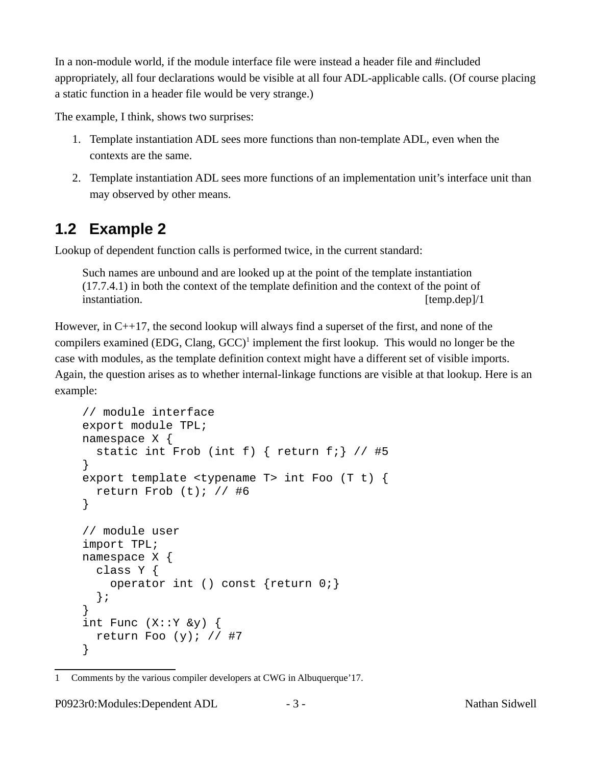In a non-module world, if the module interface file were instead a header file and #included appropriately, all four declarations would be visible at all four ADL-applicable calls. (Of course placing a static function in a header file would be very strange.)

The example, I think, shows two surprises:

- 1. Template instantiation ADL sees more functions than non-template ADL, even when the contexts are the same.
- 2. Template instantiation ADL sees more functions of an implementation unit's interface unit than may observed by other means.

#### **1.2 Example 2**

Lookup of dependent function calls is performed twice, in the current standard:

Such names are unbound and are looked up at the point of the template instantiation (17.7.4.1) in both the context of the template definition and the context of the point of instantiation. [temp.dep]/1] [temp.dep]/1

However, in C++17, the second lookup will always find a superset of the first, and none of the compilers examined (EDG, Clang,  $GCC)^1$  $GCC)^1$  implement the first lookup. This would no longer be the case with modules, as the template definition context might have a different set of visible imports. Again, the question arises as to whether internal-linkage functions are visible at that lookup. Here is an example:

```
// module interface
export module TPL;
namespace X {
  static int Frob (int f) { return f; } // #5
}
export template <typename T> int Foo (T t) {
   return Frob (t); // #6
}
// module user
import TPL;
namespace X {
   class Y {
     operator int () const {return 0;}
   };
}
int Func (X::Y &y) {
  return Foo (y); // #7
}
```
P0923r0:Modules:Dependent ADL  $-$  3 -  $-$  Nathan Sidwell

<span id="page-2-0"></span><sup>1</sup> Comments by the various compiler developers at CWG in Albuquerque'17.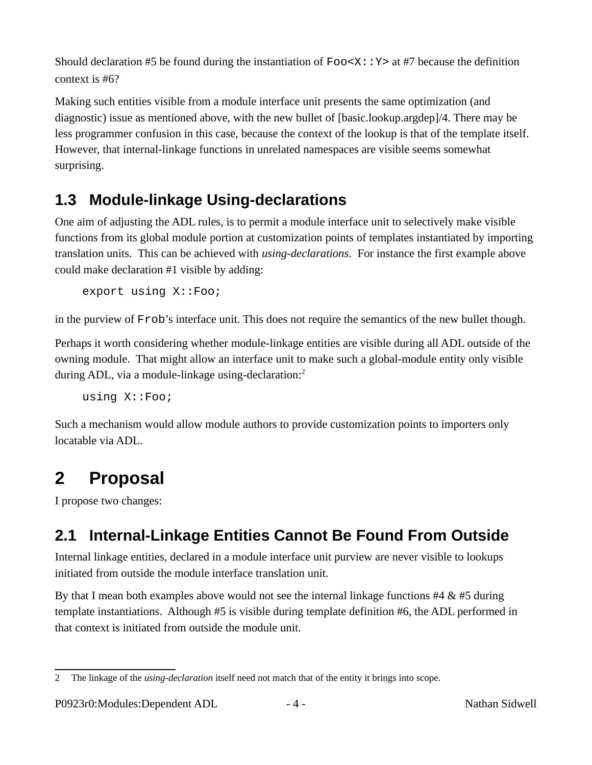Should declaration #5 be found during the instantiation of  $Foo < X: Y>$  at #7 because the definition context is #6?

Making such entities visible from a module interface unit presents the same optimization (and diagnostic) issue as mentioned above, with the new bullet of [basic.lookup.argdep]/4. There may be less programmer confusion in this case, because the context of the lookup is that of the template itself. However, that internal-linkage functions in unrelated namespaces are visible seems somewhat surprising.

### **1.3 Module-linkage Using-declarations**

One aim of adjusting the ADL rules, is to permit a module interface unit to selectively make visible functions from its global module portion at customization points of templates instantiated by importing translation units. This can be achieved with *using-declarations*. For instance the first example above could make declaration #1 visible by adding:

export using X::Foo;

in the purview of Frob's interface unit. This does not require the semantics of the new bullet though.

Perhaps it worth considering whether module-linkage entities are visible during all ADL outside of the owning module. That might allow an interface unit to make such a global-module entity only visible during ADL, via a module-linkage using-declaration:<sup>[2](#page-3-0)</sup>

using X::Foo;

Such a mechanism would allow module authors to provide customization points to importers only locatable via ADL.

# **2 Proposal**

I propose two changes:

## **2.1 Internal-Linkage Entities Cannot Be Found From Outside**

Internal linkage entities, declared in a module interface unit purview are never visible to lookups initiated from outside the module interface translation unit.

By that I mean both examples above would not see the internal linkage functions  $#4 \& #5$  during template instantiations. Although #5 is visible during template definition #6, the ADL performed in that context is initiated from outside the module unit.

<span id="page-3-0"></span><sup>2</sup> The linkage of the *using-declaration* itself need not match that of the entity it brings into scope.